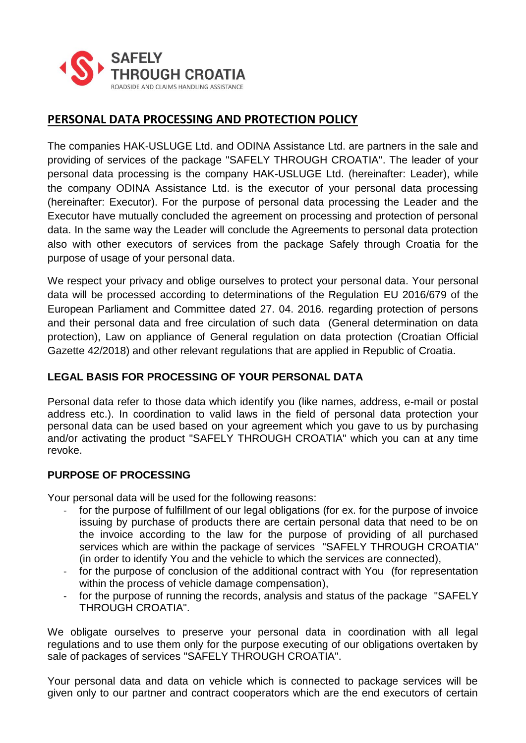

# **PERSONAL DATA PROCESSING AND PROTECTION POLICY**

The companies HAK-USLUGE Ltd. and ODINA Assistance Ltd. are partners in the sale and providing of services of the package "SAFELY THROUGH CROATIA". The leader of your personal data processing is the company HAK-USLUGE Ltd. (hereinafter: Leader), while the company ODINA Assistance Ltd. is the executor of your personal data processing (hereinafter: Executor). For the purpose of personal data processing the Leader and the Executor have mutually concluded the agreement on processing and protection of personal data. In the same way the Leader will conclude the Agreements to personal data protection also with other executors of services from the package Safely through Croatia for the purpose of usage of your personal data.

We respect your privacy and oblige ourselves to protect your personal data. Your personal data will be processed according to determinations of the Regulation EU 2016/679 of the European Parliament and Committee dated 27. 04. 2016. regarding protection of persons and their personal data and free circulation of such data (General determination on data protection), Law on appliance of General regulation on data protection (Croatian Official Gazette 42/2018) and other relevant regulations that are applied in Republic of Croatia.

## **LEGAL BASIS FOR PROCESSING OF YOUR PERSONAL DATA**

Personal data refer to those data which identify you (like names, address, e-mail or postal address etc.). In coordination to valid laws in the field of personal data protection your personal data can be used based on your agreement which you gave to us by purchasing and/or activating the product "SAFELY THROUGH CROATIA" which you can at any time revoke.

## **PURPOSE OF PROCESSING**

Your personal data will be used for the following reasons:

- for the purpose of fulfillment of our legal obligations (for ex. for the purpose of invoice issuing by purchase of products there are certain personal data that need to be on the invoice according to the law for the purpose of providing of all purchased services which are within the package of services "SAFELY THROUGH CROATIA" (in order to identify You and the vehicle to which the services are connected),
- for the purpose of conclusion of the additional contract with You (for representation within the process of vehicle damage compensation),
- for the purpose of running the records, analysis and status of the package "SAFELY THROUGH CROATIA".

We obligate ourselves to preserve your personal data in coordination with all legal regulations and to use them only for the purpose executing of our obligations overtaken by sale of packages of services "SAFELY THROUGH CROATIA".

Your personal data and data on vehicle which is connected to package services will be given only to our partner and contract cooperators which are the end executors of certain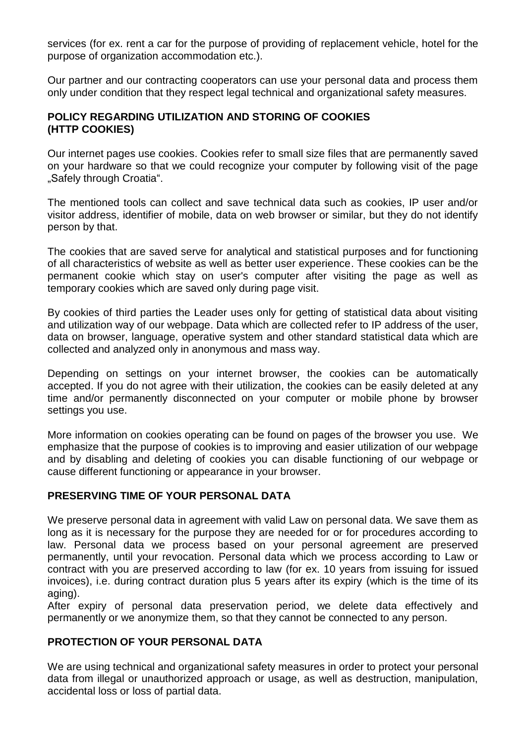services (for ex. rent a car for the purpose of providing of replacement vehicle, hotel for the purpose of organization accommodation etc.).

Our partner and our contracting cooperators can use your personal data and process them only under condition that they respect legal technical and organizational safety measures.

### **POLICY REGARDING UTILIZATION AND STORING OF COOKIES (HTTP COOKIES)**

Our internet pages use cookies. Cookies refer to small size files that are permanently saved on your hardware so that we could recognize your computer by following visit of the page "Safely through Croatia".

The mentioned tools can collect and save technical data such as cookies, IP user and/or visitor address, identifier of mobile, data on web browser or similar, but they do not identify person by that.

The cookies that are saved serve for analytical and statistical purposes and for functioning of all characteristics of website as well as better user experience. These cookies can be the permanent cookie which stay on user's computer after visiting the page as well as temporary cookies which are saved only during page visit.

By cookies of third parties the Leader uses only for getting of statistical data about visiting and utilization way of our webpage. Data which are collected refer to IP address of the user, data on browser, language, operative system and other standard statistical data which are collected and analyzed only in anonymous and mass way.

Depending on settings on your internet browser, the cookies can be automatically accepted. If you do not agree with their utilization, the cookies can be easily deleted at any time and/or permanently disconnected on your computer or mobile phone by browser settings you use.

More information on cookies operating can be found on pages of the browser you use. We emphasize that the purpose of cookies is to improving and easier utilization of our webpage and by disabling and deleting of cookies you can disable functioning of our webpage or cause different functioning or appearance in your browser.

## **PRESERVING TIME OF YOUR PERSONAL DATA**

We preserve personal data in agreement with valid Law on personal data. We save them as long as it is necessary for the purpose they are needed for or for procedures according to law. Personal data we process based on your personal agreement are preserved permanently, until your revocation. Personal data which we process according to Law or contract with you are preserved according to law (for ex. 10 years from issuing for issued invoices), i.e. during contract duration plus 5 years after its expiry (which is the time of its aging).

After expiry of personal data preservation period, we delete data effectively and permanently or we anonymize them, so that they cannot be connected to any person.

#### **PROTECTION OF YOUR PERSONAL DATA**

We are using technical and organizational safety measures in order to protect your personal data from illegal or unauthorized approach or usage, as well as destruction, manipulation, accidental loss or loss of partial data.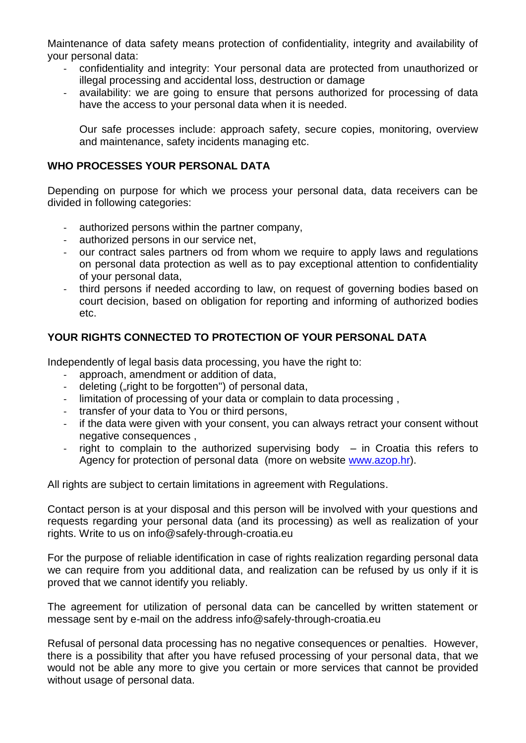Maintenance of data safety means protection of confidentiality, integrity and availability of your personal data:

- confidentiality and integrity: Your personal data are protected from unauthorized or illegal processing and accidental loss, destruction or damage
- availability: we are going to ensure that persons authorized for processing of data have the access to your personal data when it is needed.

Our safe processes include: approach safety, secure copies, monitoring, overview and maintenance, safety incidents managing etc.

### **WHO PROCESSES YOUR PERSONAL DATA**

Depending on purpose for which we process your personal data, data receivers can be divided in following categories:

- authorized persons within the partner company,
- authorized persons in our service net.
- our contract sales partners od from whom we require to apply laws and regulations on personal data protection as well as to pay exceptional attention to confidentiality of your personal data,
- third persons if needed according to law, on request of governing bodies based on court decision, based on obligation for reporting and informing of authorized bodies etc.

#### **YOUR RIGHTS CONNECTED TO PROTECTION OF YOUR PERSONAL DATA**

Independently of legal basis data processing, you have the right to:

- approach, amendment or addition of data,
- deleting ("right to be forgotten") of personal data,
- limitation of processing of your data or complain to data processing ,
- transfer of your data to You or third persons,
- if the data were given with your consent, you can always retract your consent without negative consequences ,
- right to complain to the authorized supervising body  $-$  in Croatia this refers to Agency for protection of personal data (more on website [www.azop.hr\)](http://www.azop.hr/).

All rights are subject to certain limitations in agreement with Regulations.

Contact person is at your disposal and this person will be involved with your questions and requests regarding your personal data (and its processing) as well as realization of your rights. Write to us on info@safely-through-croatia.eu

For the purpose of reliable identification in case of rights realization regarding personal data we can require from you additional data, and realization can be refused by us only if it is proved that we cannot identify you reliably.

The agreement for utilization of personal data can be cancelled by written statement or message sent by e-mail on the address info@safely-through-croatia.eu

Refusal of personal data processing has no negative consequences or penalties. However, there is a possibility that after you have refused processing of your personal data, that we would not be able any more to give you certain or more services that cannot be provided without usage of personal data.